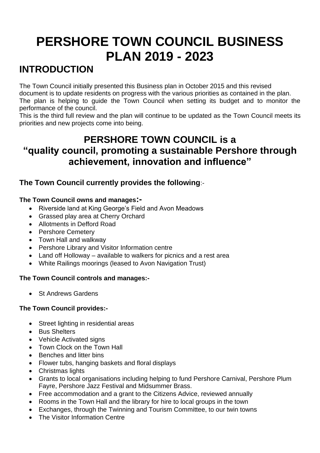# **PERSHORE TOWN COUNCIL BUSINESS PLAN 2019 - 2023**

# **INTRODUCTION**

The Town Council initially presented this Business plan in October 2015 and this revised document is to update residents on progress with the various priorities as contained in the plan. The plan is helping to guide the Town Council when setting its budget and to monitor the performance of the council.

This is the third full review and the plan will continue to be updated as the Town Council meets its priorities and new projects come into being.

# **PERSHORE TOWN COUNCIL is a "quality council, promoting a sustainable Pershore through achievement, innovation and influence"**

# **The Town Council currently provides the following**:-

## **The Town Council owns and manages:-**

- Riverside land at King George's Field and Avon Meadows
- Grassed play area at Cherry Orchard
- Allotments in Defford Road
- Pershore Cemetery
- Town Hall and walkway
- Pershore Library and Visitor Information centre
- Land off Holloway available to walkers for picnics and a rest area
- White Railings moorings (leased to Avon Navigation Trust)

# **The Town Council controls and manages:-**

• St Andrews Gardens

# **The Town Council provides:-**

- Street lighting in residential areas
- Bus Shelters
- Vehicle Activated signs
- Town Clock on the Town Hall
- Benches and litter bins
- Flower tubs, hanging baskets and floral displays
- Christmas lights
- Grants to local organisations including helping to fund Pershore Carnival, Pershore Plum Fayre, Pershore Jazz Festival and Midsummer Brass.
- Free accommodation and a grant to the Citizens Advice, reviewed annually
- Rooms in the Town Hall and the library for hire to local groups in the town
- Exchanges, through the Twinning and Tourism Committee, to our twin towns
- The Visitor Information Centre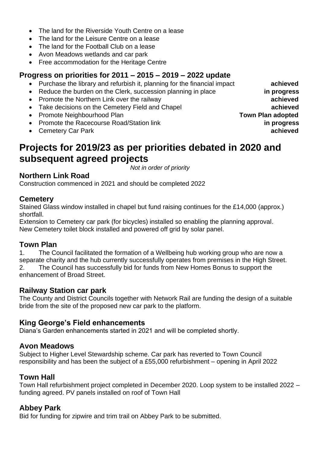- The land for the Riverside Youth Centre on a lease
- The land for the Leisure Centre on a lease
- The land for the Football Club on a lease
- Avon Meadows wetlands and car park
- Free accommodation for the Heritage Centre

# **Progress on priorities for 2011 – 2015 – 2019 – 2022 update**

- Purchase the library and refurbish it, planning for the financial impact **achieved**
- Reduce the burden on the Clerk, succession planning in place **in progress**
- Promote the Northern Link over the railway **achieved**
- Take decisions on the Cemetery Field and Chapel **achieved**
- Promote Neighbourhood Plan **Town Plan adopted**
- Promote the Racecourse Road/Station link **in progress**
- Cemetery Car Park **achieved**

# **Projects for 2019/23 as per priorities debated in 2020 and subsequent agreed projects**

*Not in order of priority*

# **Northern Link Road**

Construction commenced in 2021 and should be completed 2022

## **Cemetery**

Stained Glass window installed in chapel but fund raising continues for the £14,000 (approx.) shortfall.

Extension to Cemetery car park (for bicycles) installed so enabling the planning approval. New Cemetery toilet block installed and powered off grid by solar panel.

## **Town Plan**

1. The Council facilitated the formation of a Wellbeing hub working group who are now a separate charity and the hub currently successfully operates from premises in the High Street. 2. The Council has successfully bid for funds from New Homes Bonus to support the enhancement of Broad Street.

## **Railway Station car park**

The County and District Councils together with Network Rail are funding the design of a suitable bride from the site of the proposed new car park to the platform.

# **King George's Field enhancements**

Diana's Garden enhancements started in 2021 and will be completed shortly.

# **Avon Meadows**

Subject to Higher Level Stewardship scheme. Car park has reverted to Town Council responsibility and has been the subject of a £55,000 refurbishment – opening in April 2022

# **Town Hall**

Town Hall refurbishment project completed in December 2020. Loop system to be installed 2022 – funding agreed. PV panels installed on roof of Town Hall

# **Abbey Park**

Bid for funding for zipwire and trim trail on Abbey Park to be submitted.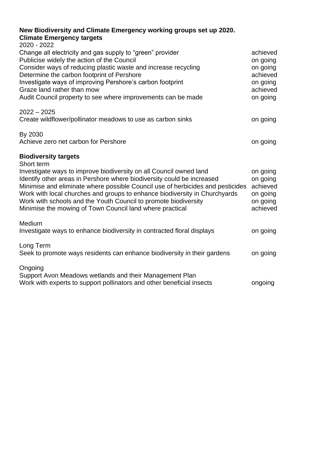#### **New Biodiversity and Climate Emergency working groups set up 2020. Climate Emergency targets**

| 2020 - 2022<br>Change all electricity and gas supply to "green" provider                                                                                                                                                                                                                                                                                                                                                                    | achieved                                                             |
|---------------------------------------------------------------------------------------------------------------------------------------------------------------------------------------------------------------------------------------------------------------------------------------------------------------------------------------------------------------------------------------------------------------------------------------------|----------------------------------------------------------------------|
| Publicise widely the action of the Council<br>Consider ways of reducing plastic waste and increase recycling<br>Determine the carbon footprint of Pershore                                                                                                                                                                                                                                                                                  | on going<br>on going<br>achieved                                     |
| Investigate ways of improving Pershore's carbon footprint<br>Graze land rather than mow<br>Audit Council property to see where improvements can be made                                                                                                                                                                                                                                                                                     | on going<br>achieved<br>on going                                     |
| $2022 - 2025$<br>Create wildflower/pollinator meadows to use as carbon sinks                                                                                                                                                                                                                                                                                                                                                                | on going                                                             |
| By 2030<br>Achieve zero net carbon for Pershore                                                                                                                                                                                                                                                                                                                                                                                             | on going                                                             |
| <b>Biodiversity targets</b><br>Short term                                                                                                                                                                                                                                                                                                                                                                                                   |                                                                      |
| Investigate ways to improve biodiversity on all Council owned land<br>Identify other areas in Pershore where biodiversity could be increased<br>Minimise and eliminate where possible Council use of herbicides and pesticides<br>Work with local churches and groups to enhance biodiversity in Churchyards<br>Work with schools and the Youth Council to promote biodiversity<br>Minimise the mowing of Town Council land where practical | on going<br>on going<br>achieved<br>on going<br>on going<br>achieved |
| Medium<br>Investigate ways to enhance biodiversity in contracted floral displays                                                                                                                                                                                                                                                                                                                                                            | on going                                                             |
| Long Term<br>Seek to promote ways residents can enhance biodiversity in their gardens                                                                                                                                                                                                                                                                                                                                                       | on going                                                             |
| Ongoing<br>Support Avon Meadows wetlands and their Management Plan<br>Work with experts to support pollinators and other beneficial insects                                                                                                                                                                                                                                                                                                 | ongoing                                                              |
|                                                                                                                                                                                                                                                                                                                                                                                                                                             |                                                                      |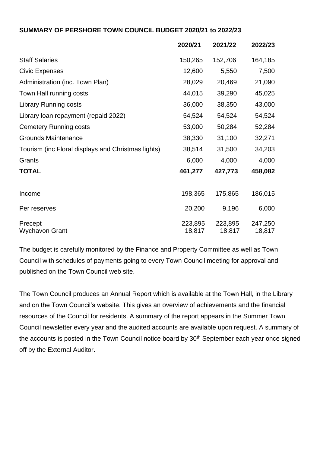#### **SUMMARY OF PERSHORE TOWN COUNCIL BUDGET 2020/21 to 2022/23**

|                                                    | 2020/21 | 2021/22 | 2022/23 |
|----------------------------------------------------|---------|---------|---------|
| <b>Staff Salaries</b>                              | 150,265 | 152,706 | 164,185 |
| <b>Civic Expenses</b>                              | 12,600  | 5,550   | 7,500   |
| Administration (inc. Town Plan)                    | 28,029  | 20,469  | 21,090  |
| Town Hall running costs                            | 44,015  | 39,290  | 45,025  |
| <b>Library Running costs</b>                       | 36,000  | 38,350  | 43,000  |
| Library loan repayment (repaid 2022)               | 54,524  | 54,524  | 54,524  |
| <b>Cemetery Running costs</b>                      | 53,000  | 50,284  | 52,284  |
| <b>Grounds Maintenance</b>                         | 38,330  | 31,100  | 32,271  |
| Tourism (inc Floral displays and Christmas lights) | 38,514  | 31,500  | 34,203  |
| Grants                                             | 6,000   | 4,000   | 4,000   |
| <b>TOTAL</b>                                       | 461,277 | 427,773 | 458,082 |
| Income                                             | 198,365 | 175,865 | 186,015 |
| Per reserves                                       | 20,200  | 9,196   | 6,000   |
| Precept                                            | 223,895 | 223,895 | 247,250 |
| Wychavon Grant                                     | 18,817  | 18,817  | 18,817  |

The budget is carefully monitored by the Finance and Property Committee as well as Town Council with schedules of payments going to every Town Council meeting for approval and published on the Town Council web site.

The Town Council produces an Annual Report which is available at the Town Hall, in the Library and on the Town Council's website. This gives an overview of achievements and the financial resources of the Council for residents. A summary of the report appears in the Summer Town Council newsletter every year and the audited accounts are available upon request. A summary of the accounts is posted in the Town Council notice board by 30<sup>th</sup> September each year once signed off by the External Auditor.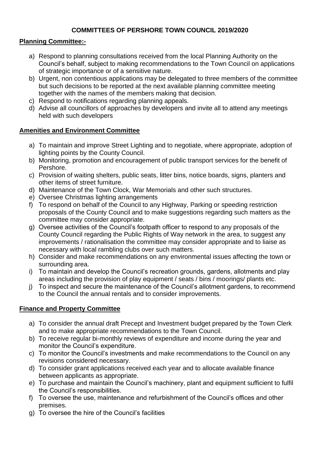#### **COMMITTEES OF PERSHORE TOWN COUNCIL 2019/2020**

#### **Planning Committee:-**

- a) Respond to planning consultations received from the local Planning Authority on the Council's behalf, subject to making recommendations to the Town Council on applications of strategic importance or of a sensitive nature.
- b) Urgent, non contentious applications may be delegated to three members of the committee but such decisions to be reported at the next available planning committee meeting together with the names of the members making that decision.
- c) Respond to notifications regarding planning appeals.
- d) Advise all councillors of approaches by developers and invite all to attend any meetings held with such developers

#### **Amenities and Environment Committee**

- a) To maintain and improve Street Lighting and to negotiate, where appropriate, adoption of lighting points by the County Council.
- b) Monitoring, promotion and encouragement of public transport services for the benefit of Pershore.
- c) Provision of waiting shelters, public seats, litter bins, notice boards, signs, planters and other items of street furniture.
- d) Maintenance of the Town Clock, War Memorials and other such structures.
- e) Oversee Christmas lighting arrangements
- f) To respond on behalf of the Council to any Highway, Parking or speeding restriction proposals of the County Council and to make suggestions regarding such matters as the committee may consider appropriate.
- g) Oversee activities of the Council's footpath officer to respond to any proposals of the County Council regarding the Public Rights of Way network in the area, to suggest any improvements / rationalisation the committee may consider appropriate and to liaise as necessary with local rambling clubs over such matters.
- h) Consider and make recommendations on any environmental issues affecting the town or surrounding area.
- i) To maintain and develop the Council's recreation grounds, gardens, allotments and play areas including the provision of play equipment / seats / bins / moorings/ plants etc.
- j) To inspect and secure the maintenance of the Council's allotment gardens, to recommend to the Council the annual rentals and to consider improvements.

## **Finance and Property Committee**

- a) To consider the annual draft Precept and Investment budget prepared by the Town Clerk and to make appropriate recommendations to the Town Council.
- b) To receive regular bi-monthly reviews of expenditure and income during the year and monitor the Council's expenditure.
- c) To monitor the Council's investments and make recommendations to the Council on any revisions considered necessary.
- d) To consider grant applications received each year and to allocate available finance between applicants as appropriate.
- e) To purchase and maintain the Council's machinery, plant and equipment sufficient to fulfil the Council's responsibilities.
- f) To oversee the use, maintenance and refurbishment of the Council's offices and other premises.
- g) To oversee the hire of the Council's facilities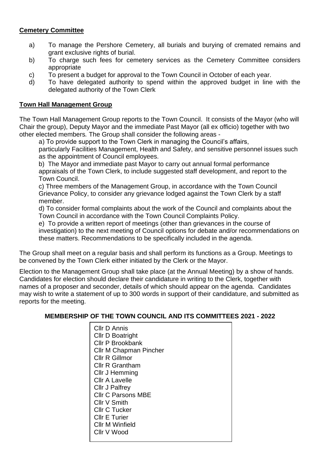#### **Cemetery Committee**

- a) To manage the Pershore Cemetery, all burials and burying of cremated remains and grant exclusive rights of burial.
- b) To charge such fees for cemetery services as the Cemetery Committee considers appropriate
- c) To present a budget for approval to the Town Council in October of each year.
- d) To have delegated authority to spend within the approved budget in line with the delegated authority of the Town Clerk

#### **Town Hall Management Group**

The Town Hall Management Group reports to the Town Council. It consists of the Mayor (who will Chair the group), Deputy Mayor and the immediate Past Mayor (all ex officio) together with two other elected members*.* The Group shall consider the following areas -

a) To provide support to the Town Clerk in managing the Council's affairs,

particularly Facilities Management, Health and Safety, and sensitive personnel issues such as the appointment of Council employees.

b) The Mayor and immediate past Mayor to carry out annual formal performance appraisals of the Town Clerk, to include suggested staff development, and report to the Town Council.

c) Three members of the Management Group, in accordance with the Town Council Grievance Policy, to consider any grievance lodged against the Town Clerk by a staff member.

d) To consider formal complaints about the work of the Council and complaints about the Town Council in accordance with the Town Council Complaints Policy.

e) To provide a written report of meetings (other than grievances in the course of investigation) to the next meeting of Council options for debate and/or recommendations on these matters. Recommendations to be specifically included in the agenda.

The Group shall meet on a regular basis and shall perform its functions as a Group. Meetings to be convened by the Town Clerk either initiated by the Clerk or the Mayor.

Election to the Management Group shall take place (at the Annual Meeting) by a show of hands. Candidates for election should declare their candidature in writing to the Clerk, together with names of a proposer and seconder, details of which should appear on the agenda. Candidates may wish to write a statement of up to 300 words in support of their candidature, and submitted as reports for the meeting.

#### **MEMBERSHIP OF THE TOWN COUNCIL AND ITS COMMITTEES 2021 - 2022**

Cllr D Annis Cllr D Boatright Cllr P Brookbank Cllr M Chapman Pincher Cllr R Gillmor Cllr R Grantham Cllr J Hemming Cllr A Lavelle Cllr J Palfrey Cllr C Parsons MBE Cllr V Smith Cllr C Tucker Cllr E Turier Cllr M Winfield Cllr V Wood